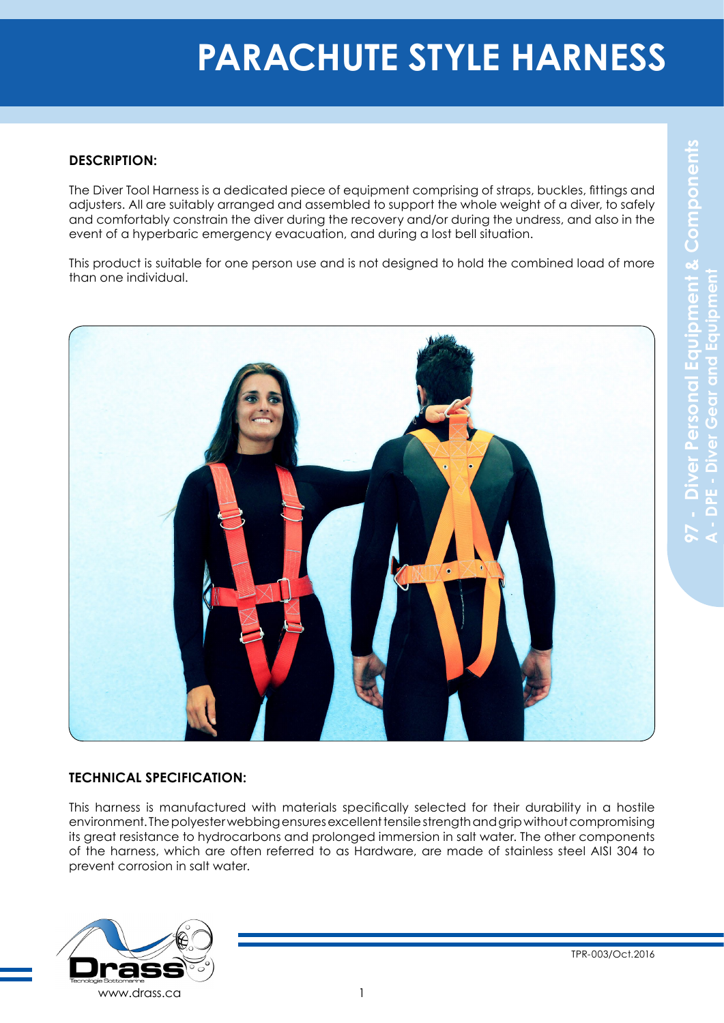## **DESCRIPTION:**

The Diver Tool Harness is a dedicated piece of equipment comprising of straps, buckles, fittings and adjusters. All are suitably arranged and assembled to support the whole weight of a diver, to safely and comfortably constrain the diver during the recovery and/or during the undress, and also in the event of a hyperbaric emergency evacuation, and during a lost bell situation.

This product is suitable for one person use and is not designed to hold the combined load of more than one individual.



## **TECHNICAL SPECIFICATION:**

This harness is manufactured with materials specifically selected for their durability in a hostile environment. The polyester webbing ensures excellent tensile strength and grip without compromising its great resistance to hydrocarbons and prolonged immersion in salt water. The other components of the harness, which are often referred to as Hardware, are made of stainless steel AISI 304 to prevent corrosion in salt water.